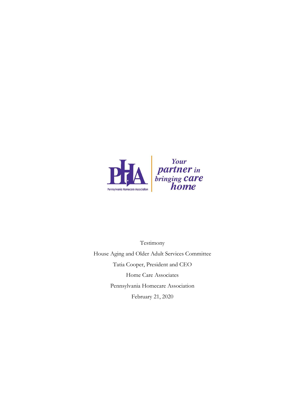

Testimony House Aging and Older Adult Services Committee Tatia Cooper, President and CEO Home Care Associates Pennsylvania Homecare Association February 21, 2020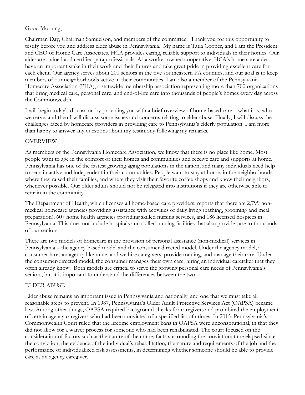## Good Morning,

Chairman Day, Chairman Samuelson, and members of the committee. Thank you for this opportunity to testify before you and address elder abuse in Pennsylvania. My name is Tatia Cooper, and I am the President and CEO of Home Care Associates. HCA provides caring, reliable support to individuals in their homes. Our aides are trained and certified paraprofessionals. As a worker-owned cooperative, HCA's home care aides have an important stake in their work and their futures and take great pride in providing excellent care for each client. Our agency serves about 200 seniors in the five southeastern PA counties, and our goal is to keep members of our neighborhoods active in their communities. I am also a member of the Pennsylvania Homecare Association (PHA), a statewide membership association representing more than 700 organizations that bring medical care, personal care, and end-of-life care into thousands of people's homes every day across the Commonwealth.

I will begin today's discussion by providing you with a brief overview of home-based care – what it is, who we serve, and then I will discuss some issues and concerns relating to elder abuse. Finally, I will discuss the challenges faced by homecare providers in providing care to Pennsylvania's elderly population. I am more than happy to answer any questions about my testimony following my remarks.

## OVERVIEW

As members of the Pennsylvania Homecare Association, we know that there is no place like home. Most people want to age in the comfort of their homes and communities and receive care and supports at home. Pennsylvania has one of the fastest growing aging populations in the nation, and many individuals need help to remain active and independent in their communities. People want to stay at home, in the neighborhoods where they raised their families, and where they visit their favorite coffee shops and know their neighbors, whenever possible. Our older adults should not be relegated into institutions if they are otherwise able to remain in the community.

The Department of Health, which licenses all home-based care providers, reports that there are 2,799 nonmedical homecare agencies providing assistance with activities of daily living (bathing, grooming and meal preparation), 607 home health agencies providing skilled nursing services, and 186 licensed hospices in Pennsylvania. This does not include hospitals and skilled nursing facilities that also provide care to thousands of our seniors.

There are two models of homecare in the provision of personal assistance (non-medical) services in Pennsylvania – the agency-based model and the consumer-directed model. Under the agency model, a consumer hires an agency like mine, and we hire caregivers, provide training, and manage their care. Under the consumer-directed model, the consumer manages their own care, hiring an individual caretaker that they often already know. Both models are critical to serve the growing personal care needs of Pennsylvania's seniors, but it is important to understand the differences between the two.

## ELDER ABUSE

Elder abuse remains an important issue in Pennsylvania and nationally, and one that we must take all reasonable steps to prevent. In 1987, Pennsylvania's Older Adult Protective Services Act (OAPSA) became law. Among other things, OAPSA required background checks for caregivers and prohibited the employment of certain agency caregivers who had been convicted of a specified list of crimes. In 2015, Pennsylvania's Commonwealth Court ruled that the lifetime employment bans in OAPSA were unconstitutional, in that they did not allow for a waiver process for someone who had been rehabilitated. The court focused on the consideration of factors such as the nature of the crime; facts surrounding the conviction; time elapsed since the conviction; the evidence of the individual's rehabilitation; the nature and requirements of the job and the performance of individualized risk assessments, in determining whether someone should be able to provide care as an agency caregiver.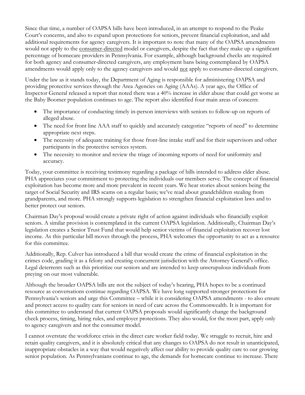Since that time, a number of OAPSA bills have been introduced, in an attempt to respond to the Peake Court's concerns, and also to expand upon protections for seniors, prevent financial exploitation, and add additional requirements for agency caregivers. It is important to note that many of the OAPSA amendments would not apply to the consumer-directed model or caregivers, despite the fact that they make up a significant percentage of homecare providers in Pennsylvania. For example, although background checks are required for both agency and consumer-directed caregivers, any employment bans being contemplated by OAPSA amendments would apply only to the agency caregivers and would not apply to consumer-directed caregivers.

Under the law as it stands today, the Department of Aging is responsible for administering OAPSA and providing protective services through the Area Agencies on Aging (AAAs). A year ago, the Office of Inspector General released a report that noted there was a 40% increase in elder abuse that could get worse as the Baby Boomer population continues to age. The report also identified four main areas of concern:

- The importance of conducting timely in-person interviews with seniors to follow-up on reports of alleged abuse.
- The need for front line AAA staff to quickly and accurately categorize "reports of need" to determine appropriate next steps.
- The necessity of adequate training for those front-line intake staff and for their supervisors and other participants in the protective services system.
- The necessity to monitor and review the triage of incoming reports of need for uniformity and accuracy.

Today, your committee is receiving testimony regarding a package of bills intended to address elder abuse. PHA appreciates your commitment to protecting the individuals our members serve. The concept of financial exploitation has become more and more prevalent in recent years. We hear stories about seniors being the target of Social Security and IRS scams on a regular basis; we've read about grandchildren stealing from grandparents, and more. PHA strongly supports legislation to strengthen financial exploitation laws and to better protect our seniors.

Chairman Day's proposal would create a private right of action against individuals who financially exploit seniors. A similar provision is contemplated in the current OAPSA legislation. Additionally, Chairman Day's legislation creates a Senior Trust Fund that would help senior victims of financial exploitation recover lost income. As this particular bill moves through the process, PHA welcomes the opportunity to act as a resource for this committee.

Additionally, Rep. Culver has introduced a bill that would create the crime of financial exploitation in the crimes code, grading it as a felony and creating concurrent jurisdiction with the Attorney General's office. Legal deterrents such as this prioritize our seniors and are intended to keep unscrupulous individuals from preying on our most vulnerable.

Although the broader OAPSA bills are not the subject of today's hearing, PHA hopes to be a continued resource as conversations continue regarding OAPSA. We have long supported stronger protections for Pennsylvania's seniors and urge this Committee – while it is considering OAPSA amendments - to also ensure and protect access to quality care for seniors in need of care across the Commonwealth. It is important for this committee to understand that current OAPSA proposals would significantly change the background check process, timing, hiring rules, and employer protections. They also would, for the most part, apply only to agency caregivers and not the consumer model.

I cannot overstate the workforce crisis in the direct care worker field today. We struggle to recruit, hire and retain quality caregivers, and it is absolutely critical that any changes to OAPSA do not result in unanticipated, inappropriate obstacles in a way that would negatively affect our ability to provide quality care to our growing senior population. As Pennsylvanians continue to age, the demands for homecare continue to increase. There